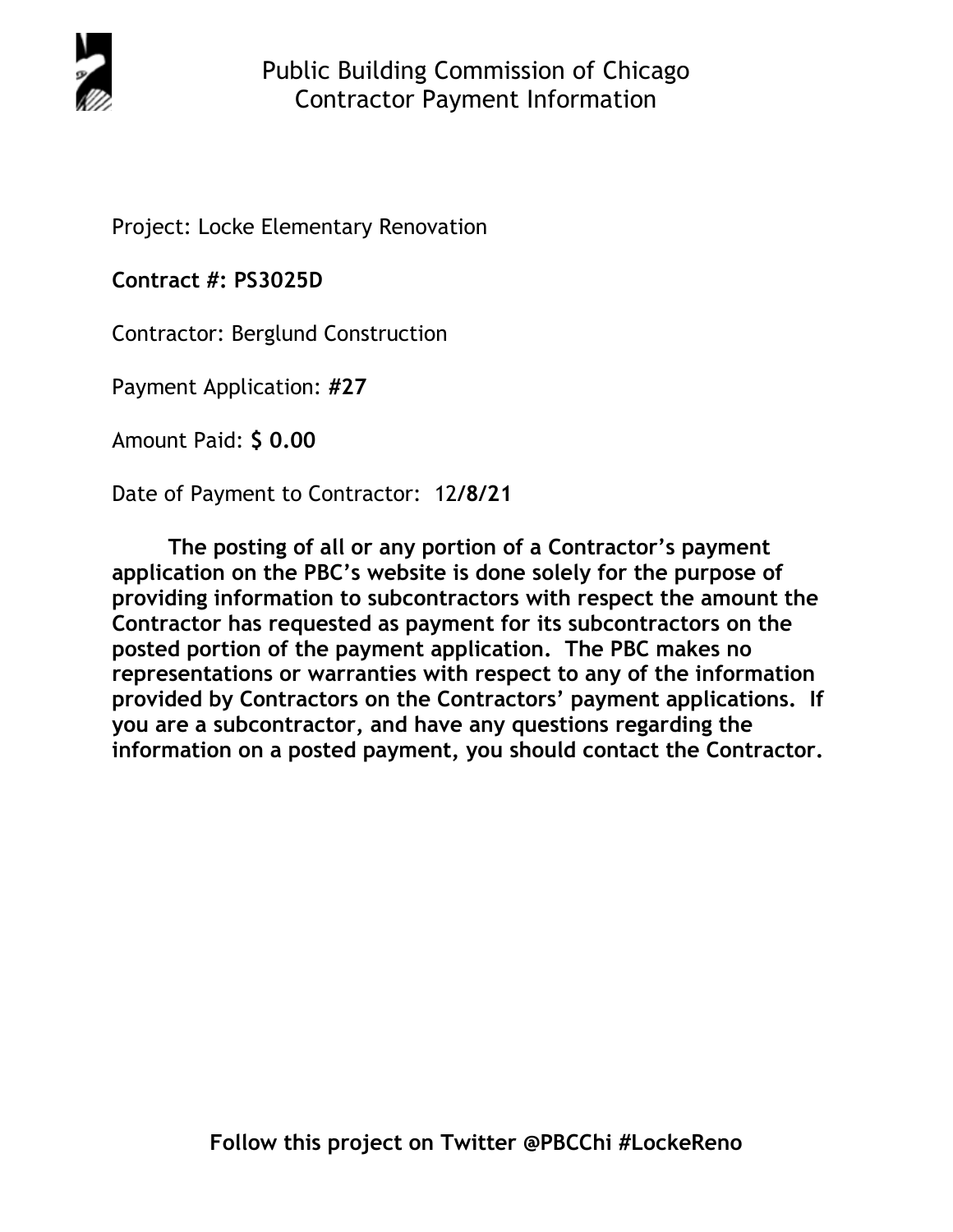

Project: Locke Elementary Renovation

**Contract #: PS3025D**

Contractor: Berglund Construction

Payment Application: **#27** 

Amount Paid: **\$ 0.00** 

Date of Payment to Contractor: 12**/8/21** 

**The posting of all or any portion of a Contractor's payment application on the PBC's website is done solely for the purpose of providing information to subcontractors with respect the amount the Contractor has requested as payment for its subcontractors on the posted portion of the payment application. The PBC makes no representations or warranties with respect to any of the information provided by Contractors on the Contractors' payment applications. If you are a subcontractor, and have any questions regarding the information on a posted payment, you should contact the Contractor.**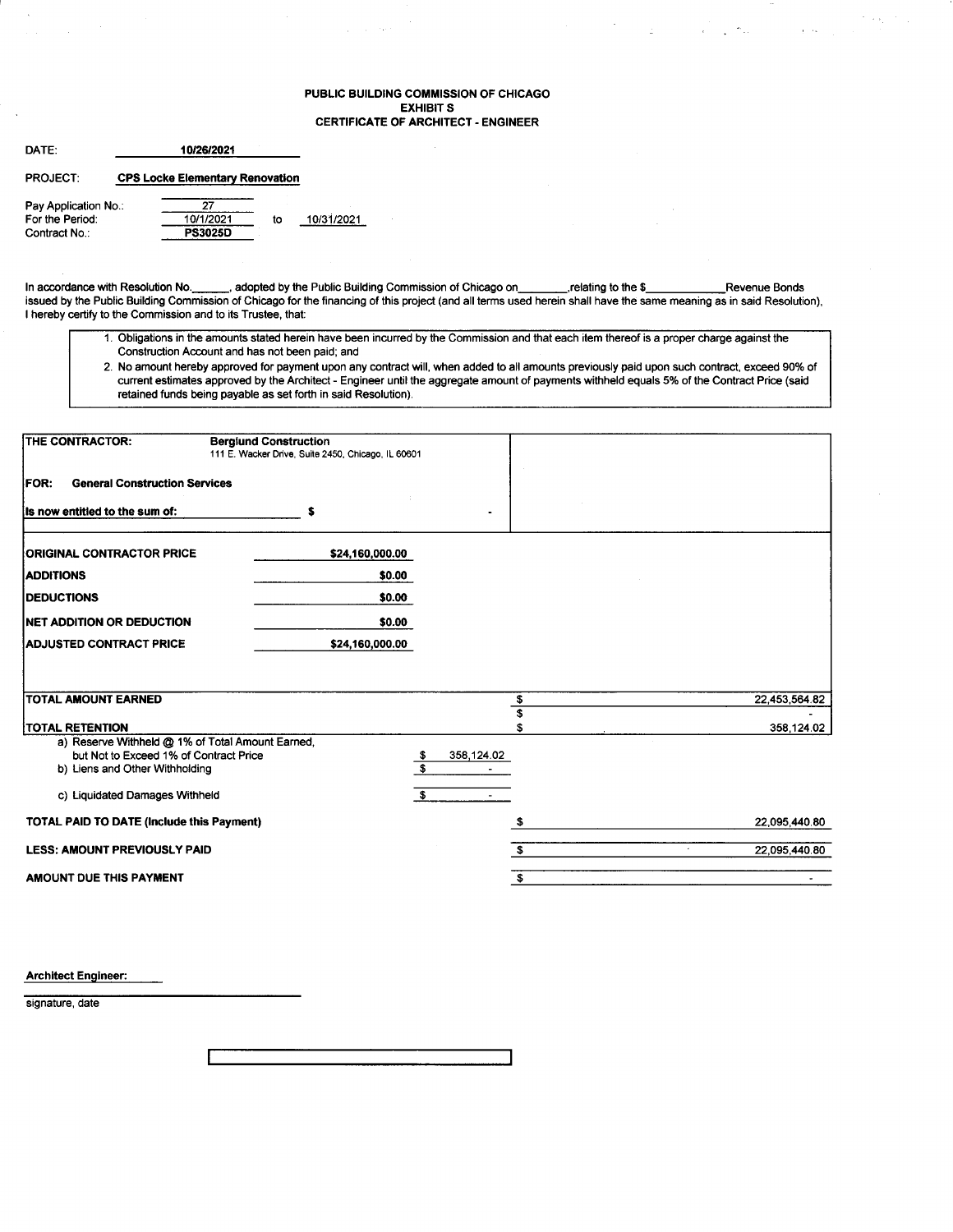### PUBLIC BUILDING COMMISSION OF CHICAGO EXHIBIT S CERTIFICATE OF ARCHITECT. ENGINEER

 $\hat{\varphi}$  ,  $\hat{\varphi}$  , then

 $\mathcal{F}(\mathbf{x},\mathbf{y}) \geq \mathcal{F}(\mathbf{y})$ 

 $\sim$   $\gamma_{\rm cr}$ 

 $\sim 10^{11}$  km

| DATE:                | 10/26/2021                             |    |            |
|----------------------|----------------------------------------|----|------------|
| <b>PROJECT:</b>      | <b>CPS Locke Elementary Renovation</b> |    |            |
| Pay Application No.: | 27                                     |    |            |
| For the Period:      | 10/1/2021                              | to | 10/31/2021 |
| Contract No.:        | <b>PS3025D</b>                         |    |            |

In accordance with Resolution No. \_\_\_\_\_\_, adopted by the Public Building Commission of Chicago on\_\_\_\_\_\_\_\_,relating to the \$\_\_\_\_\_\_\_\_\_Revenue Bonds<br>issued by the Public Building Commission of Chicago for the financing of thi I hereby certify to the Commission and to its Trustee, that:

- '1. Obligations in the amounts stated herein have been incurred by the Commission and that each rtem thereof is a proper charge against the Construction Account and has not been paid; and
- 2. No amount hereby approved for payment upon any contract will, when added to all amounts previously paid upon such contract, exceed 90% of current estimates approved by the Architect - Engineer until the aggregate amount of payments withheld equals 5olo of the Contract Price (said retained funds being payable as set forth in said Resolution).

| <b>THE CONTRACTOR:</b>                                                   | <b>Bergiund Construction</b><br>111 E. Wacker Drive, Suite 2450, Chicago, IL 60601 |                                              |                    |
|--------------------------------------------------------------------------|------------------------------------------------------------------------------------|----------------------------------------------|--------------------|
| <b>FOR:</b><br><b>General Construction Services</b>                      |                                                                                    |                                              |                    |
| Its now entitled to the sum of:                                          | s                                                                                  |                                              |                    |
| <b>ORIGINAL CONTRACTOR PRICE</b>                                         | \$24,160,000.00                                                                    |                                              |                    |
| <b>ADDITIONS</b>                                                         | \$0.00                                                                             |                                              |                    |
| <b>DEDUCTIONS</b>                                                        | \$0.00                                                                             |                                              |                    |
| <b>INET ADDITION OR DEDUCTION</b>                                        | \$0.00                                                                             |                                              |                    |
| <b>ADJUSTED CONTRACT PRICE</b>                                           | \$24,160,000.00                                                                    |                                              |                    |
|                                                                          |                                                                                    |                                              |                    |
| <b>TOTAL AMOUNT EARNED</b>                                               |                                                                                    | $\frac{1}{3}$                                | 22,453,564.82      |
| <b>TOTAL RETENTION</b>                                                   |                                                                                    | \$                                           | 358,124.02         |
| a) Reserve Withheld @ 1% of Total Amount Earned,                         |                                                                                    |                                              |                    |
| but Not to Exceed 1% of Contract Price<br>b) Liens and Other Withholding |                                                                                    | 358,124.02<br>-\$<br>$\overline{\mathbf{s}}$ |                    |
| c) Liquidated Damages Withheld                                           |                                                                                    | S.                                           |                    |
| TOTAL PAID TO DATE (Include this Payment)                                |                                                                                    | - 5                                          | 22,095,440.80      |
| <b>LESS: AMOUNT PREVIOUSLY PAID</b>                                      |                                                                                    | s.                                           | 22,095,440.80<br>× |
| AMOUNT DUE THIS PAYMENT                                                  |                                                                                    | \$                                           |                    |

Architect Engineer:

signature, date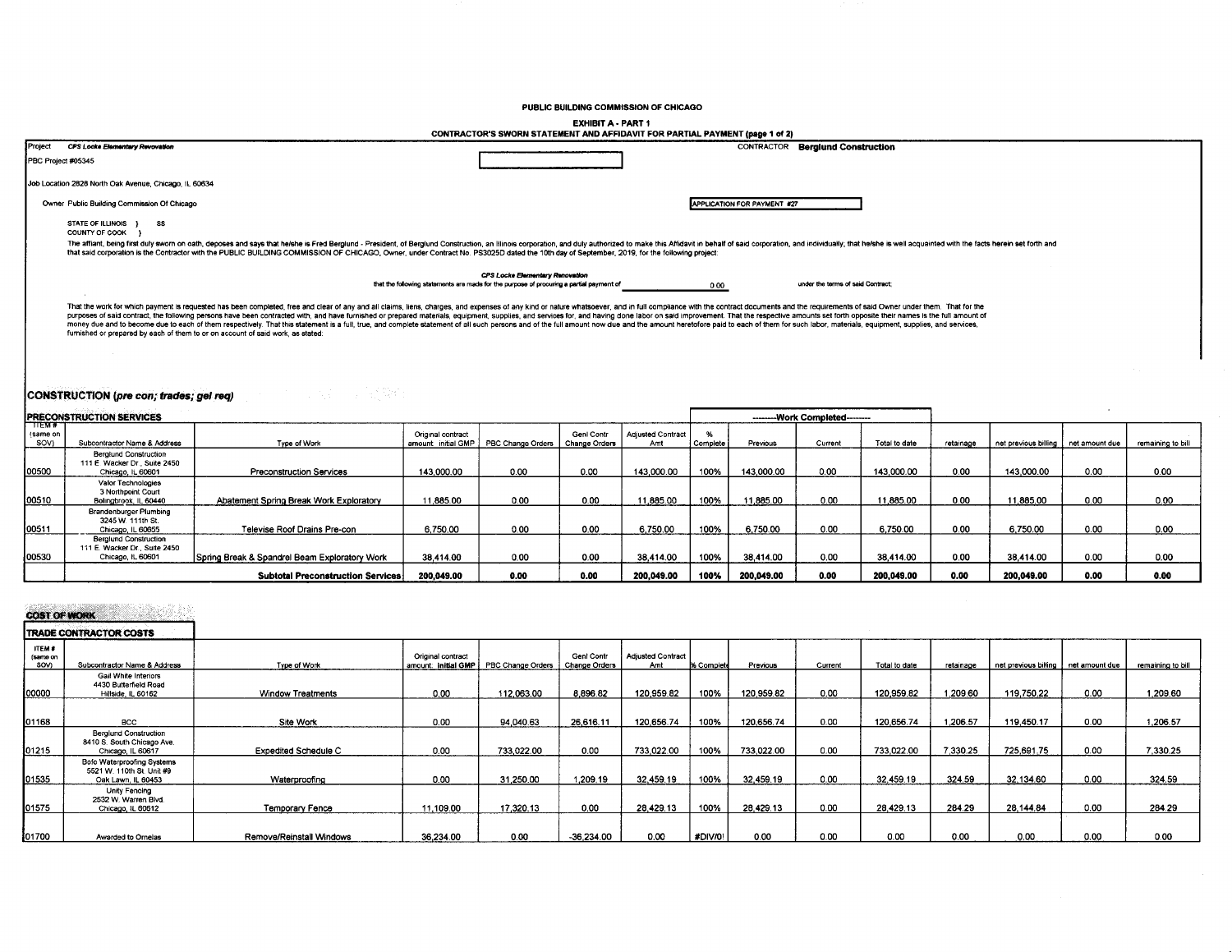### PUBLIC BUILDING COMMISSION OF CHICAGO

| <b>EXHIBIT A - PART 1</b>                                                    |  |
|------------------------------------------------------------------------------|--|
| CONTRACTOR'S SWORN STATEMENT AND AFFIDAVIT FOR PARTIAL PAYMENT (page 1 of 2) |  |

| Project            | <b>CPS Locke Elementary Revovation</b>                                                                                                                                                                                                                                                                                                                                                                                                                                                                                                                                                                                                                                                                                                                                                |                                                                                          |                             | <b>CONTRACTOR Berglund Construction</b> |
|--------------------|---------------------------------------------------------------------------------------------------------------------------------------------------------------------------------------------------------------------------------------------------------------------------------------------------------------------------------------------------------------------------------------------------------------------------------------------------------------------------------------------------------------------------------------------------------------------------------------------------------------------------------------------------------------------------------------------------------------------------------------------------------------------------------------|------------------------------------------------------------------------------------------|-----------------------------|-----------------------------------------|
| PBC Project #05345 |                                                                                                                                                                                                                                                                                                                                                                                                                                                                                                                                                                                                                                                                                                                                                                                       |                                                                                          |                             |                                         |
|                    | Job Location 2828 North Oak Avenue, Chicago, IL 60634                                                                                                                                                                                                                                                                                                                                                                                                                                                                                                                                                                                                                                                                                                                                 |                                                                                          |                             |                                         |
|                    | Owner Public Building Commission Of Chicago                                                                                                                                                                                                                                                                                                                                                                                                                                                                                                                                                                                                                                                                                                                                           |                                                                                          | APPLICATION FOR PAYMENT #27 |                                         |
|                    | <b>STATE OF ILLINOIS</b><br><b>SS</b><br>COUNTY OF COOK                                                                                                                                                                                                                                                                                                                                                                                                                                                                                                                                                                                                                                                                                                                               |                                                                                          |                             |                                         |
|                    | The affiant, being first duly swom on oath, deposes and says that helshe is Fred Bergiund - President, of Bergiund Construction, an Illinois corporation, and duly authorized to make this Affidavit in behalf of said corpora<br>that said corporation is the Contractor with the PUBLIC BUILDING COMMISSION OF CHICAGO, Owner, under Contract No. PS3025D dated the 10th day of September, 2019, for the following project:                                                                                                                                                                                                                                                                                                                                                         |                                                                                          |                             |                                         |
|                    |                                                                                                                                                                                                                                                                                                                                                                                                                                                                                                                                                                                                                                                                                                                                                                                       | CPS Locke Elementary Renovation                                                          |                             |                                         |
|                    |                                                                                                                                                                                                                                                                                                                                                                                                                                                                                                                                                                                                                                                                                                                                                                                       | that the following statements are made for the purpose of procuring a partial payment of | 0.00                        | under the terms of said Contract:       |
|                    | That the work for which payment is requested has been completed, free and clear of any and all claims, liens, charges, and expenses of any kind or nature whatsoever, and in full compliance with the contract documents and t<br>purposes of said contract, the following persons have been contracted with, and have furnished or prepared materials, equipment, supplies, and services for, and having done labor on said improvement. That the respective am<br>money due and to become due to each of them respectively. That this statement is a full, true, and complete statement of all such persons and of the full amount now due and the amount heretofore paid to each of them for su<br>furnished or prepared by each of them to or on account of said work, as stated: |                                                                                          |                             |                                         |

л

# CONSTRUCTION (pre con; trades; gel req)

|                          | <b>PRECONSTRUCTION SERVICES</b>                                                    |                                               |                                          |                   |                             |                                 | ---------Work Completed--------- |            |         |               |           |                                       |      |                   |
|--------------------------|------------------------------------------------------------------------------------|-----------------------------------------------|------------------------------------------|-------------------|-----------------------------|---------------------------------|----------------------------------|------------|---------|---------------|-----------|---------------------------------------|------|-------------------|
| TTEM#<br>same on<br>SOV) | Subcontractor Name & Address                                                       | Type of Work                                  | Original contract<br>amount: initial GMP | PBC Change Orders | Genl Contr<br>Change Orders | <b>Adjusted Contract</b><br>Amt | Complete                         | Previous   | Current | Total to date | retainage | net previous billing   net amount due |      | remaining to bill |
| 00500                    | Berglund Construction<br>111 E. Wacker Dr., Suite 2450<br>Chicago, IL 60601        | <b>Preconstruction Services</b>               | 143,000.00                               | 0.00              | 0.00                        | 143.000.00                      | 100%                             | 143,000.00 | 0.00    | 143.000.00    | 0.00      | 143,000.00                            | 0.00 | 0.00              |
| 00510                    | Valor Technologies<br>3 Northpoint Court<br>Bolingbrook, IL 60440                  | Abatement Spring Break Work Exploratory       | 11.885.00                                | 0.00              | 0.00                        | 11,885.00                       | 100%                             | 11,885.00  | 0.00    | 11,885.00     | 0.00      | 11.885.00                             | 0.00 | 0.00              |
| 00511                    | Brandenburger Plumbing<br>3245 W. 111th St.<br>Chicago, IL 60655                   | Televise Roof Drains Pre-con                  | 6,750.00                                 | 0.00              | 0.00                        | 6,750.00                        | 100%                             | 6.750.00   | 0.00    | 6.750.00      | 0.00      | 6.750.00                              | 0.00 | 0.00              |
| 00530                    | <b>Berglund Construction</b><br>111 E. Wacker Dr., Suite 2450<br>Chicago, IL 60601 | Spring Break & Spandrel Beam Exploratory Work | 38 414 00                                | 0.00              | 0.00                        | 38.414.00                       | 100%                             | 38.414.00  | 0.00    | 38.414.00     | 0.00      | 38.414.00                             | 0.00 | 0.00              |
|                          |                                                                                    | <b>Subtotal Preconstruction Services</b>      | 200,049.00                               | 0.00              | 0.00                        | 200,049.00                      | 100%                             | 200,049.00 | 0.00    | 200,049.00    | 0.00      | 200,049.00                            | 0.00 | 0.00              |

#### tidak da **COST OF WORK**

## TRADE CONTRACTOR CORTE

|                                  | <b>I IRADE CONTRACTOR COSTS</b>                                                 |                             |                   |                                         |                             |                                 |            |            |         |               |           |                                     |      |                   |
|----------------------------------|---------------------------------------------------------------------------------|-----------------------------|-------------------|-----------------------------------------|-----------------------------|---------------------------------|------------|------------|---------|---------------|-----------|-------------------------------------|------|-------------------|
| <b>ITEM#</b><br>(same on<br>SOV) | Subcontractor Name & Address                                                    | Type of Work                | Original contract | amount: initial GMP   PBC Change Orders | Genl Contr<br>Change Orders | <b>Adjusted Contract</b><br>Amt | % Complete | Previous   | Current | Total to date | retainage | net previous billing net amount due |      | remaining to bill |
| 00000                            | Gail White Interiors<br>4430 Butterfield Road<br>Hillside, IL 60162             | <b>Window Treatments</b>    | 0.00              | 112,063.00                              | 8,896.82                    | 120,959.82                      | 100%       | 120.959.82 | 0.00    | 120,959.82    | 1.209.60  | 119.750.22                          | 0.00 | 1.209.60          |
| 01168                            | <b>BCC</b>                                                                      | Site Work                   | 0.00              | 94.040.63                               | 26.616.11                   | 120.656.74                      | 100%       | 120.656.74 | 0.00    | 120.656.74    | 1.206.57  | 119.450.17                          | 0.00 | 1.206.57          |
| 101215                           | <b>Beralund Construction</b><br>8410 S. South Chicago Ave.<br>Chicago, IL 60617 | <b>Expedited Schedule C</b> | 0.00              | 733.022.00                              | 0.00                        | 733.022.00                      | 100%       | 733.022.00 | 0.00    | 733.022.00    | 7.330.25  | 725,691.75                          | 0.00 | 7.330.25          |
| 01535                            | Bofo Waterproofing Systems<br>5521 W. 110th St. Unit #9<br>Oak Lawn, IL 60453   | Waterproofing               | 0.00              | 31.250.00                               | 1,209.19                    | 32,459.19                       | 100%       | 32,459.19  | 0.00    | 32,459.19     | 324.59    | 32.134.60                           | 0.00 | 324.59            |
| 01575                            | Unity Fencing<br>2532 W. Warren Blvd.<br>Chicago, IL 60612                      | Temporary Fence             | 11,109.00         | 17,320.13                               | 0.00                        | 28,429.13                       | 100%       | 28,429.13  | 0.00    | 28,429.13     | 284.29    | 28,144.84                           | 0.00 | 284.29            |
| 01700                            | Awarded to Ornelas                                                              | Remove/Reinstall Windows    | 36.234.00         | 0.00                                    | -36,234.00                  | 0.00                            | #DIV/0!    | 0.00       | 0.00    | 0.00          | 0.00      | 0.00                                | 0.00 | 0.00              |